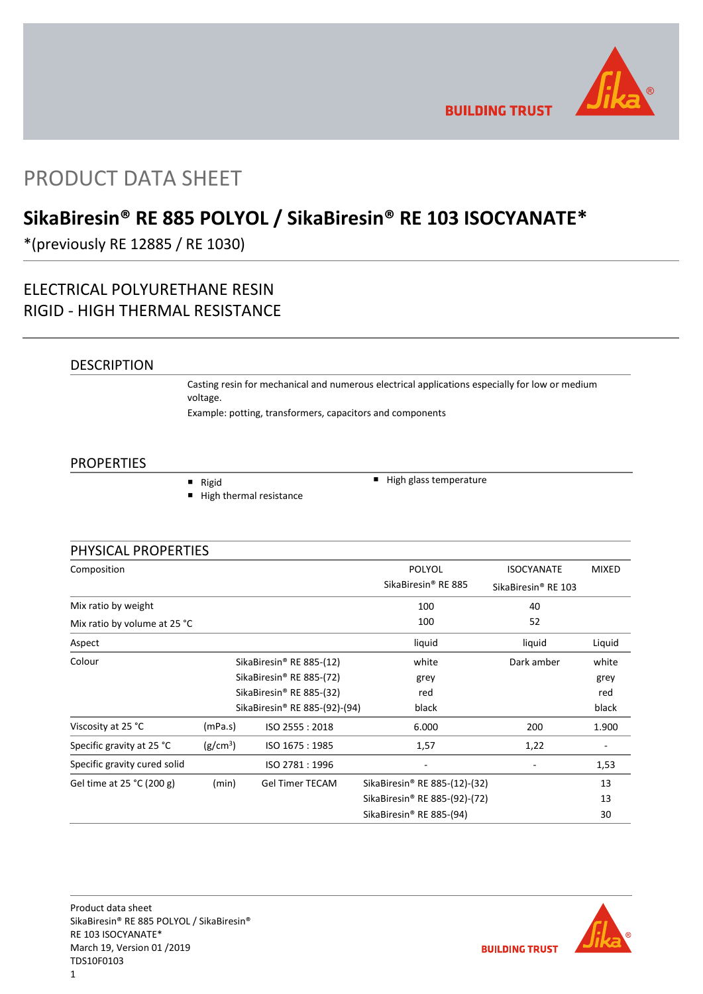

**BUILDING TRUST** 

# PRODUCT DATA SHEET

## **SikaBiresin® RE 885 POLYOL / SikaBiresin® RE 103 ISOCYANATE\***

\*(previously RE 12885 / RE 1030)

## ELECTRICAL POLYURETHANE RESIN RIGID - HIGH THERMAL RESISTANCE

### DESCRIPTION

Casting resin for mechanical and numerous electrical applications especially for low or medium voltage. Example: potting, transformers, capacitors and components

### PROPERTIES

■ Rigid

High thermal resistance

 $\blacksquare$  High glass temperature

| PHYSICAL PROPERTIES          |                                      |                                      |                                           |                                 |                   |
|------------------------------|--------------------------------------|--------------------------------------|-------------------------------------------|---------------------------------|-------------------|
| Composition                  |                                      |                                      | POLYOL                                    | <b>ISOCYANATE</b>               | <b>MIXED</b>      |
|                              |                                      |                                      | SikaBiresin® RE 885                       | SikaBiresin <sup>®</sup> RE 103 |                   |
| Mix ratio by weight          |                                      |                                      | 100                                       | 40                              |                   |
| Mix ratio by volume at 25 °C |                                      |                                      | 100                                       | 52                              |                   |
| Aspect                       |                                      |                                      | liquid                                    | liquid                          | Liquid            |
| Colour                       | SikaBiresin <sup>®</sup> RE 885-(12) |                                      | white                                     | Dark amber                      | white             |
|                              |                                      | SikaBiresin <sup>®</sup> RE 885-(72) | grey                                      |                                 | grey              |
|                              |                                      | SikaBiresin® RE 885-(32)             | red                                       |                                 | red               |
|                              |                                      | SikaBiresin® RE 885-(92)-(94)        | black                                     |                                 | black             |
| Viscosity at 25 °C           | (mPa.s)                              | ISO 2555: 2018                       | 6.000                                     | 200                             | 1.900             |
| Specific gravity at 25 °C    | (g/cm <sup>3</sup> )                 | ISO 1675: 1985                       | 1,57                                      | 1,22                            | $\qquad \qquad -$ |
| Specific gravity cured solid |                                      | ISO 2781: 1996                       |                                           |                                 | 1,53              |
| Gel time at 25 °C (200 g)    | (min)                                | <b>Gel Timer TECAM</b>               | SikaBiresin <sup>®</sup> RE 885-(12)-(32) |                                 | 13                |
|                              |                                      |                                      | SikaBiresin <sup>®</sup> RE 885-(92)-(72) |                                 | 13                |
|                              |                                      |                                      | SikaBiresin <sup>®</sup> RE 885-(94)      |                                 | 30                |

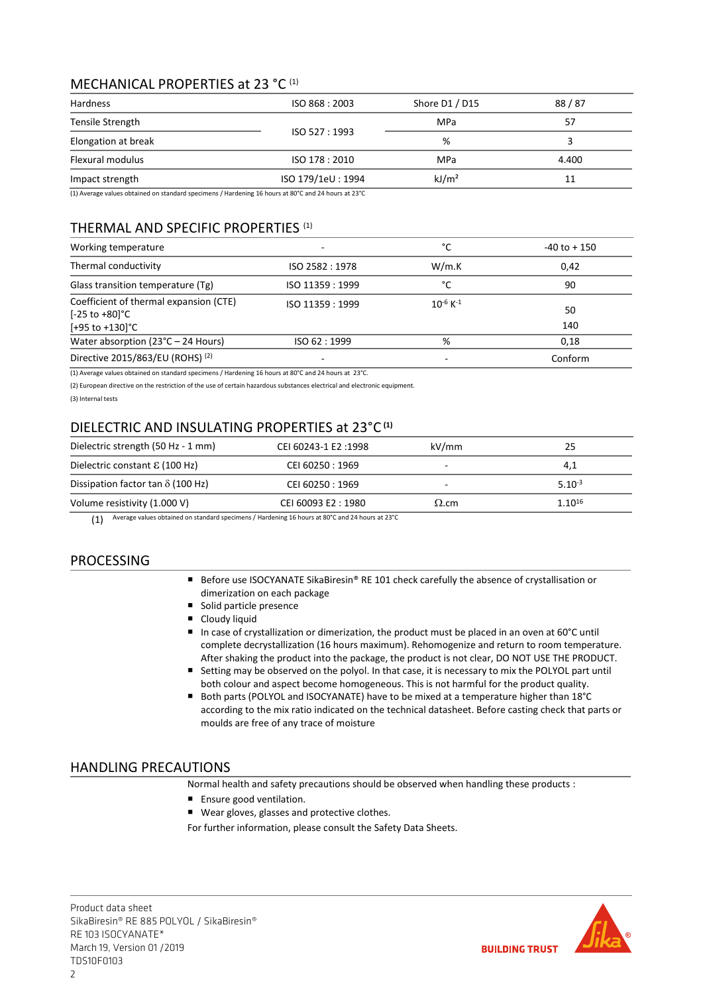### MECHANICAL PROPERTIES at 23 °C<sup>(1)</sup>

| Hardness            | ISO 868: 2003     | Shore D1 / D15    | 88/87 |
|---------------------|-------------------|-------------------|-------|
| Tensile Strength    |                   | MPa               | 57    |
| Elongation at break | ISO 527: 1993     | %                 |       |
| Flexural modulus    | ISO 178: 2010     | MPa               | 4.400 |
| Impact strength     | ISO 179/1eU: 1994 | kJ/m <sup>2</sup> | 11    |

(1) Average values obtained on standard specimens / Hardening 16 hours at 80°C and 24 hours at 23°C

### THERMAL AND SPECIFIC PROPERTIES (1)

| Working temperature                                                                                 | $\overline{\phantom{a}}$ | °C                        | $-40$ to $+150$ |
|-----------------------------------------------------------------------------------------------------|--------------------------|---------------------------|-----------------|
| Thermal conductivity                                                                                | ISO 2582 : 1978          | W/m.K                     | 0,42            |
| Glass transition temperature (Tg)                                                                   | ISO 11359 : 1999         | °C                        | 90              |
| Coefficient of thermal expansion (CTE)<br>$[-25 \text{ to } +80]$ °C<br>$[+95 \text{ to } +130]$ °C | ISO 11359 : 1999         | $10^{-6}$ K <sup>-1</sup> | 50<br>140       |
| Water absorption $(23^{\circ}C - 24$ Hours)                                                         | ISO 62 : 1999            | %                         | 0,18            |
| Directive 2015/863/EU (ROHS) (2)                                                                    |                          |                           | Conform         |

(1) Average values obtained on standard specimens / Hardening 16 hours at 80°C and 24 hours at 23°C.

(2) European directive on the restriction of the use of certain hazardous substances electrical and electronic equipment.

(3) Internal tests

### DIELECTRIC AND INSULATING PROPERTIES at 23°C **(1)**

| Dielectric strength (50 Hz - 1 mm)       | CEI 60243-1 E2:1998 | kV/mm        | 25          |
|------------------------------------------|---------------------|--------------|-------------|
| Dielectric constant $\epsilon$ (100 Hz)  | CEI 60250 : 1969    |              | 4,1         |
| Dissipation factor tan $\delta$ (100 Hz) | CEI 60250 : 1969    | -            | $5.10^{-3}$ |
| Volume resistivity (1.000 V)             | CEI 60093 E2:1980   | $\Omega$ .cm | $1.10^{16}$ |

(1) Average values obtained on standard specimens / Hardening 16 hours at 80°C and 24 hours at 23°C

### PROCESSING

- Before use ISOCYANATE SikaBiresin® RE 101 check carefully the absence of crystallisation or dimerization on each package
- Solid particle presence
- **Cloudy liquid**
- In case of crystallization or dimerization, the product must be placed in an oven at 60°C until complete decrystallization (16 hours maximum). Rehomogenize and return to room temperature. After shaking the product into the package, the product is not clear, DO NOT USE THE PRODUCT.
- Setting may be observed on the polyol. In that case, it is necessary to mix the POLYOL part until both colour and aspect become homogeneous. This is not harmful for the product quality.
- Both parts (POLYOL and ISOCYANATE) have to be mixed at a temperature higher than 18°C according to the mix ratio indicated on the technical datasheet. Before casting check that parts or moulds are free of any trace of moisture

### HANDLING PRECAUTIONS

Normal health and safety precautions should be observed when handling these products :

- Ensure good ventilation.
- Wear gloves, glasses and protective clothes.

For further information, please consult the Safety Data Sheets.

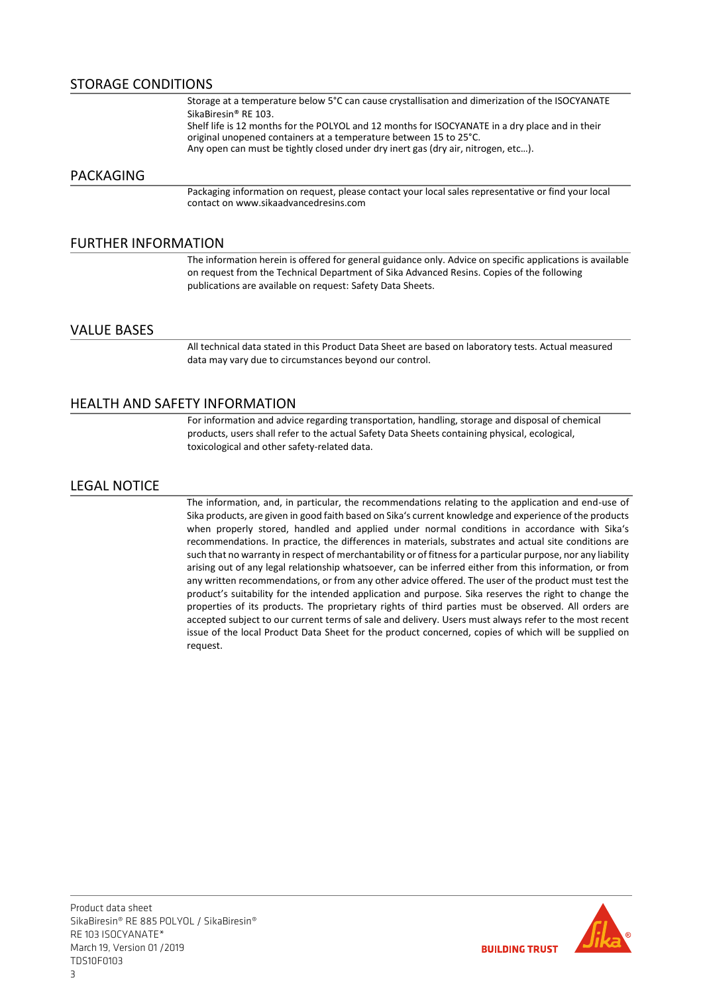### STORAGE CONDITIONS

Storage at a temperature below 5°C can cause crystallisation and dimerization of the ISOCYANATE SikaBiresin® RE 103. Shelf life is 12 months for the POLYOL and 12 months for ISOCYANATE in a dry place and in their original unopened containers at a temperature between 15 to 25°C. Any open can must be tightly closed under dry inert gas (dry air, nitrogen, etc…).

### PACKAGING

Packaging information on request, please contact your local sales representative or find your local contact on www.sikaadvancedresins.com

### FURTHER INFORMATION

The information herein is offered for general guidance only. Advice on specific applications is available on request from the Technical Department of Sika Advanced Resins. Copies of the following publications are available on request: Safety Data Sheets.

### VALUE BASES

All technical data stated in this Product Data Sheet are based on laboratory tests. Actual measured data may vary due to circumstances beyond our control.

### HEALTH AND SAFETY INFORMATION

For information and advice regarding transportation, handling, storage and disposal of chemical products, users shall refer to the actual Safety Data Sheets containing physical, ecological, toxicological and other safety-related data.

### LEGAL NOTICE

The information, and, in particular, the recommendations relating to the application and end-use of Sika products, are given in good faith based on Sika's current knowledge and experience of the products when properly stored, handled and applied under normal conditions in accordance with Sika's recommendations. In practice, the differences in materials, substrates and actual site conditions are such that no warranty in respect of merchantability or of fitness for a particular purpose, nor any liability arising out of any legal relationship whatsoever, can be inferred either from this information, or from any written recommendations, or from any other advice offered. The user of the product must test the product's suitability for the intended application and purpose. Sika reserves the right to change the properties of its products. The proprietary rights of third parties must be observed. All orders are accepted subject to our current terms of sale and delivery. Users must always refer to the most recent issue of the local Product Data Sheet for the product concerned, copies of which will be supplied on request.